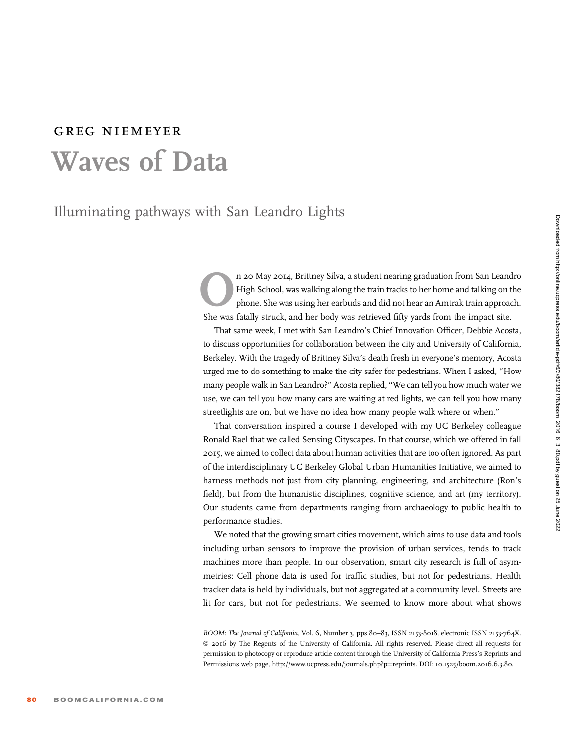## greg niemeyer Waves of Data

Illuminating pathways with San Leandro Lights

n 20 May 2014, Brittney Silva, a student nearing graduation from San Leandro<br>High School, was walking along the train tracks to her home and talking on the<br>phone. She was using her earbuds and did not hear an Amtrak train High School, was walking along the train tracks to her home and talking on the phone. She was using her earbuds and did not hear an Amtrak train approach. She was fatally struck, and her body was retrieved fifty yards from the impact site.

That same week, I met with San Leandro's Chief Innovation Officer, Debbie Acosta, to discuss opportunities for collaboration between the city and University of California, Berkeley. With the tragedy of Brittney Silva's death fresh in everyone's memory, Acosta urged me to do something to make the city safer for pedestrians. When I asked, ''How many people walk in San Leandro?'' Acosta replied, ''We can tell you how much water we use, we can tell you how many cars are waiting at red lights, we can tell you how many streetlights are on, but we have no idea how many people walk where or when.''

That conversation inspired a course I developed with my UC Berkeley colleague Ronald Rael that we called Sensing Cityscapes. In that course, which we offered in fall 2015, we aimed to collect data about human activities that are too often ignored. As part of the interdisciplinary UC Berkeley Global Urban Humanities Initiative, we aimed to harness methods not just from city planning, engineering, and architecture (Ron's field), but from the humanistic disciplines, cognitive science, and art (my territory). Our students came from departments ranging from archaeology to public health to performance studies.

We noted that the growing smart cities movement, which aims to use data and tools including urban sensors to improve the provision of urban services, tends to track machines more than people. In our observation, smart city research is full of asymmetries: Cell phone data is used for traffic studies, but not for pedestrians. Health tracker data is held by individuals, but not aggregated at a community level. Streets are lit for cars, but not for pedestrians. We seemed to know more about what shows

BOOM: The Journal of California, Vol. 6, Number 3, pps 80-83, ISSN 2153-8018, electronic ISSN 2153-764X. © 2016 by The Regents of the University of California. All rights reserved. Please direct all requests for permission to photocopy or reproduce article content through the University of California Press's Reprints and Permissions web page, http://www.ucpress.edu/journals.php?p=reprints. DOI: 10.1525/boom.2016.6.3.80.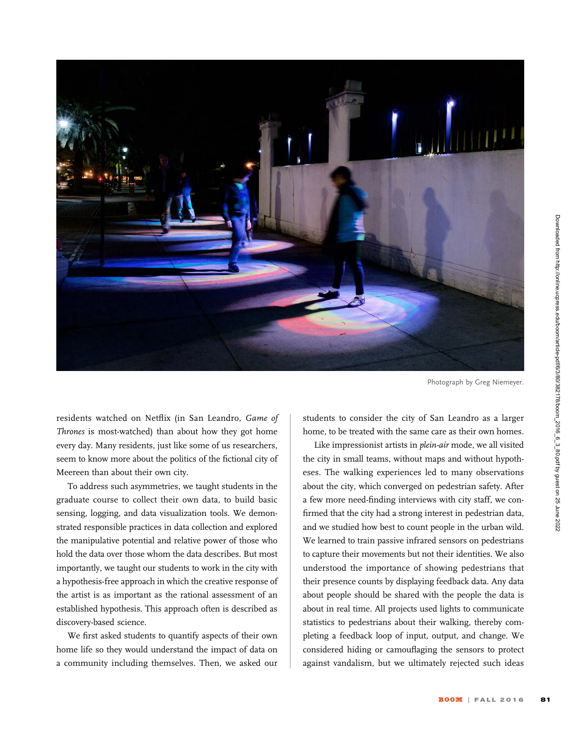

Photograph by Greg Niemeyer.

residents watched on Netflix (in San Leandro, Game of Thrones is most-watched) than about how they got home every day. Many residents, just like some of us researchers, seem to know more about the politics of the fictional city of Meereen than about their own city.

To address such asymmetries, we taught students in the graduate course to collect their own data, to build basic sensing, logging, and data visualization tools. We demonstrated responsible practices in data collection and explored the manipulative potential and relative power of those who hold the data over those whom the data describes. But most importantly, we taught our students to work in the city with a hypothesis-free approach in which the creative response of the artist is as important as the rational assessment of an established hypothesis. This approach often is described as discovery-based science.

We first asked students to quantify aspects of their own home life so they would understand the impact of data on a community including themselves. Then, we asked our

students to consider the city of San Leandro as a larger home, to be treated with the same care as their own homes.

Like impressionist artists in plein-air mode, we all visited the city in small teams, without maps and without hypotheses. The walking experiences led to many observations about the city, which converged on pedestrian safety. After a few more need-finding interviews with city staff, we confirmed that the city had a strong interest in pedestrian data, and we studied how best to count people in the urban wild. We learned to train passive infrared sensors on pedestrians to capture their movements but not their identities. We also understood the importance of showing pedestrians that their presence counts by displaying feedback data. Any data about people should be shared with the people the data is about in real time. All projects used lights to communicate statistics to pedestrians about their walking, thereby completing a feedback loop of input, output, and change. We considered hiding or camouflaging the sensors to protect against vandalism, but we ultimately rejected such ideas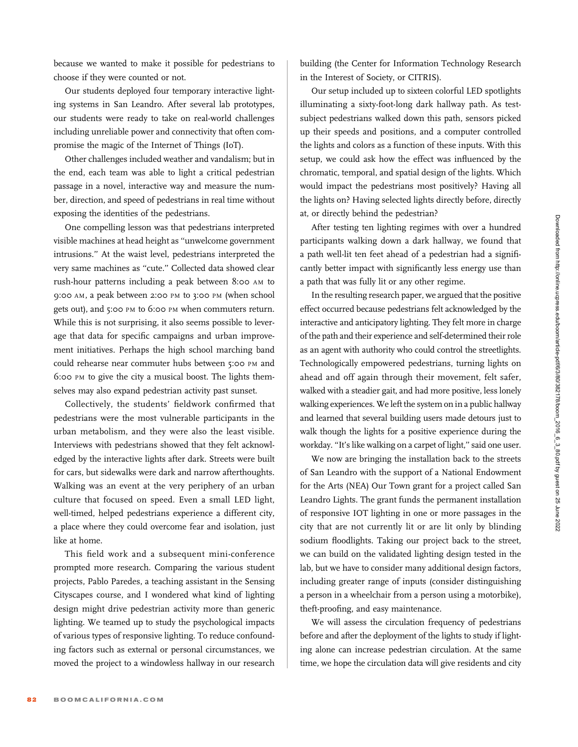because we wanted to make it possible for pedestrians to choose if they were counted or not.

Our students deployed four temporary interactive lighting systems in San Leandro. After several lab prototypes, our students were ready to take on real-world challenges including unreliable power and connectivity that often compromise the magic of the Internet of Things (IoT).

Other challenges included weather and vandalism; but in the end, each team was able to light a critical pedestrian passage in a novel, interactive way and measure the number, direction, and speed of pedestrians in real time without exposing the identities of the pedestrians.

One compelling lesson was that pedestrians interpreted visible machines at head height as ''unwelcome government intrusions.'' At the waist level, pedestrians interpreted the very same machines as ''cute.'' Collected data showed clear rush-hour patterns including a peak between 8:00 AM to 9:00 AM, a peak between 2:00 PM to 3:00 PM (when school gets out), and 5:00 PM to 6:00 PM when commuters return. While this is not surprising, it also seems possible to leverage that data for specific campaigns and urban improvement initiatives. Perhaps the high school marching band could rehearse near commuter hubs between 5:00 PM and 6:00 PM to give the city a musical boost. The lights themselves may also expand pedestrian activity past sunset.

Collectively, the students' fieldwork confirmed that pedestrians were the most vulnerable participants in the urban metabolism, and they were also the least visible. Interviews with pedestrians showed that they felt acknowledged by the interactive lights after dark. Streets were built for cars, but sidewalks were dark and narrow afterthoughts. Walking was an event at the very periphery of an urban culture that focused on speed. Even a small LED light, well-timed, helped pedestrians experience a different city, a place where they could overcome fear and isolation, just like at home.

This field work and a subsequent mini-conference prompted more research. Comparing the various student projects, Pablo Paredes, a teaching assistant in the Sensing Cityscapes course, and I wondered what kind of lighting design might drive pedestrian activity more than generic lighting. We teamed up to study the psychological impacts of various types of responsive lighting. To reduce confounding factors such as external or personal circumstances, we moved the project to a windowless hallway in our research

building (the Center for Information Technology Research in the Interest of Society, or CITRIS).

Our setup included up to sixteen colorful LED spotlights illuminating a sixty-foot-long dark hallway path. As testsubject pedestrians walked down this path, sensors picked up their speeds and positions, and a computer controlled the lights and colors as a function of these inputs. With this setup, we could ask how the effect was influenced by the chromatic, temporal, and spatial design of the lights. Which would impact the pedestrians most positively? Having all the lights on? Having selected lights directly before, directly at, or directly behind the pedestrian?

After testing ten lighting regimes with over a hundred participants walking down a dark hallway, we found that a path well-lit ten feet ahead of a pedestrian had a significantly better impact with significantly less energy use than a path that was fully lit or any other regime.

In the resulting research paper, we argued that the positive effect occurred because pedestrians felt acknowledged by the interactive and anticipatory lighting. They felt more in charge of the path and their experience and self-determined their role as an agent with authority who could control the streetlights. Technologically empowered pedestrians, turning lights on ahead and off again through their movement, felt safer, walked with a steadier gait, and had more positive, less lonely walking experiences. We left the system on in a public hallway and learned that several building users made detours just to walk though the lights for a positive experience during the workday. "It's like walking on a carpet of light," said one user.

We now are bringing the installation back to the streets of San Leandro with the support of a National Endowment for the Arts (NEA) Our Town grant for a project called San Leandro Lights. The grant funds the permanent installation of responsive IOT lighting in one or more passages in the city that are not currently lit or are lit only by blinding sodium floodlights. Taking our project back to the street, we can build on the validated lighting design tested in the lab, but we have to consider many additional design factors, including greater range of inputs (consider distinguishing a person in a wheelchair from a person using a motorbike), theft-proofing, and easy maintenance.

We will assess the circulation frequency of pedestrians before and after the deployment of the lights to study if lighting alone can increase pedestrian circulation. At the same time, we hope the circulation data will give residents and city